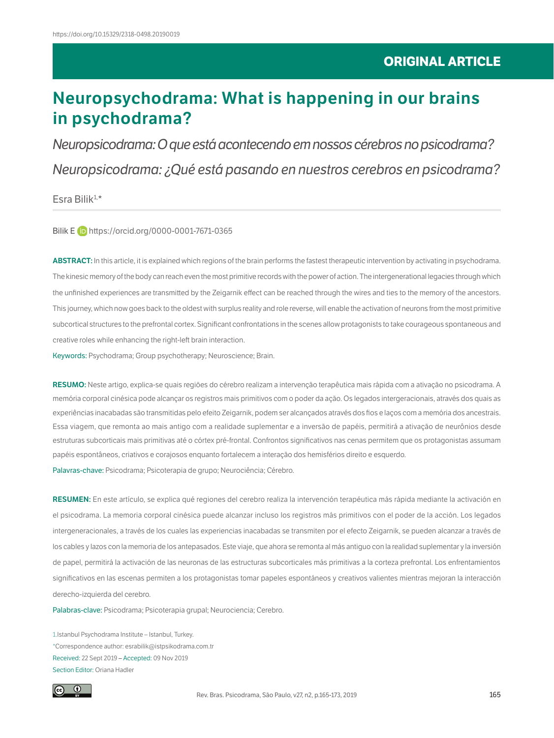# **Neuropsychodrama: What is happening in our brains in psychodrama?**

*Neuropsicodrama: O que está acontecendo em nossos cérebros no psicodrama? Neuropsicodrama: ¿Qué está pasando en nuestros cerebros en psicodrama?*

 $E$ sra Bilik $1, *$ 

Bilik E **iD** <https://orcid.org/0000-0001-7671-0365>

**ABSTRACT:** In this article, it is explained which regions of the brain performs the fastest therapeutic intervention by activating in psychodrama. The kinesic memory of the body can reach even the most primitive records with the power of action. The intergenerational legacies through which the unfinished experiences are transmitted by the Zeigarnik effect can be reached through the wires and ties to the memory of the ancestors. This journey, which now goes back to the oldest with surplus reality and role reverse, will enable the activation of neurons from the most primitive subcortical structures to the prefrontal cortex. Significant confrontations in the scenes allow protagonists to take courageous spontaneous and creative roles while enhancing the right-left brain interaction.

Keywords: Psychodrama; Group psychotherapy; Neuroscience; Brain.

**RESUMO:** Neste artigo, explica-se quais regiões do cérebro realizam a intervenção terapêutica mais rápida com a ativação no psicodrama. A memória corporal cinésica pode alcançar os registros mais primitivos com o poder da ação. Os legados intergeracionais, através dos quais as experiências inacabadas são transmitidas pelo efeito Zeigarnik, podem ser alcançados através dos fios e laços com a memória dos ancestrais. Essa viagem, que remonta ao mais antigo com a realidade suplementar e a inversão de papéis, permitirá a ativação de neurônios desde estruturas subcorticais mais primitivas até o córtex pré-frontal. Confrontos significativos nas cenas permitem que os protagonistas assumam papéis espontâneos, criativos e corajosos enquanto fortalecem a interação dos hemisférios direito e esquerdo.

Palavras-chave: Psicodrama; Psicoterapia de grupo; Neurociência; Cérebro.

**RESUMEN:** En este artículo, se explica qué regiones del cerebro realiza la intervención terapéutica más rápida mediante la activación en el psicodrama. La memoria corporal cinésica puede alcanzar incluso los registros más primitivos con el poder de la acción. Los legados intergeneracionales, a través de los cuales las experiencias inacabadas se transmiten por el efecto Zeigarnik, se pueden alcanzar a través de los cables y lazos con la memoria de los antepasados. Este viaje, que ahora se remonta al más antiguo con la realidad suplementar y la inversión de papel, permitirá la activación de las neuronas de las estructuras subcorticales más primitivas a la corteza prefrontal. Los enfrentamientos significativos en las escenas permiten a los protagonistas tomar papeles espontáneos y creativos valientes mientras mejoran la interacción derecho-izquierda del cerebro.

Palabras-clave: Psicodrama; Psicoterapia grupal; Neurociencia; Cerebro.

1.Istanbul Psychodrama Institute – Istanbul, Turkey. \*Correspondence author: esrabilik@istpsikodrama.com.tr Received: 22 Sept 2019 – Accepted: 09 Nov 2019 Section Editor: Oriana Hadler

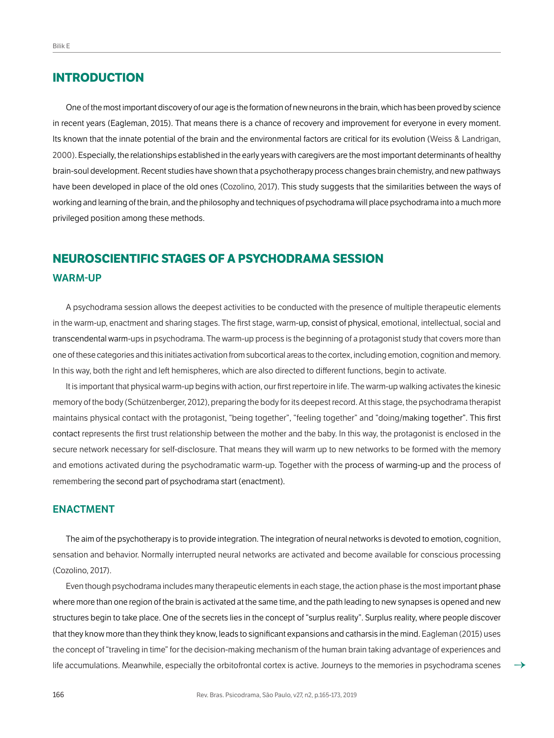# **INTRODUCTION**

One of the most important discovery of our age is the formation of new neurons in the brain, which has been proved by science in recent years (Eagleman, 2015). That means there is a chance of recovery and improvement for everyone in every moment. Its known that the innate potential of the brain and the environmental factors are critical for its evolution (Weiss & Landrigan, 2000). Especially, the relationships established in the early years with caregivers are the most important determinants of healthy brain-soul development. Recent studies have shown that a psychotherapy process changes brain chemistry, and new pathways have been developed in place of the old ones (Cozolino, 2017). This study suggests that the similarities between the ways of working and learning of the brain, and the philosophy and techniques of psychodrama will place psychodrama into a much more privileged position among these methods.

# **NEUROSCIENTIFIC STAGES OF A PSYCHODRAMA SESSION WARM-UP**

A psychodrama session allows the deepest activities to be conducted with the presence of multiple therapeutic elements in the warm-up, enactment and sharing stages. The first stage, warm-up, consist of physical, emotional, intellectual, social and transcendental warm-ups in psychodrama. The warm-up process is the beginning of a protagonist study that covers more than one of these categories and this initiates activation from subcortical areas to the cortex, including emotion, cognition and memory. In this way, both the right and left hemispheres, which are also directed to different functions, begin to activate.

It is important that physical warm-up begins with action, our first repertoire in life. The warm-up walking activates the kinesic memory of the body (Schützenberger, 2012), preparing the body for its deepest record. At this stage, the psychodrama therapist maintains physical contact with the protagonist, "being together", "feeling together" and "doing/making together". This first contact represents the first trust relationship between the mother and the baby. In this way, the protagonist is enclosed in the secure network necessary for self-disclosure. That means they will warm up to new networks to be formed with the memory and emotions activated during the psychodramatic warm-up. Together with the process of warming-up and the process of remembering the second part of psychodrama start (enactment).

#### **ENACTMENT**

The aim of the psychotherapy is to provide integration. The integration of neural networks is devoted to emotion, cognition, sensation and behavior. Normally interrupted neural networks are activated and become available for conscious processing (Cozolino, 2017).

Even though psychodrama includes many therapeutic elements in each stage, the action phase is the most important phase where more than one region of the brain is activated at the same time, and the path leading to new synapses is opened and new structures begin to take place. One of the secrets lies in the concept of "surplus reality". Surplus reality, where people discover that they know more than they think they know, leads to significant expansions and catharsis in the mind. Eagleman (2015) uses the concept of "traveling in time" for the decision-making mechanism of the human brain taking advantage of experiences and life accumulations. Meanwhile, especially the orbitofrontal cortex is active. Journeys to the memories in psychodrama scenes  $\rightarrow$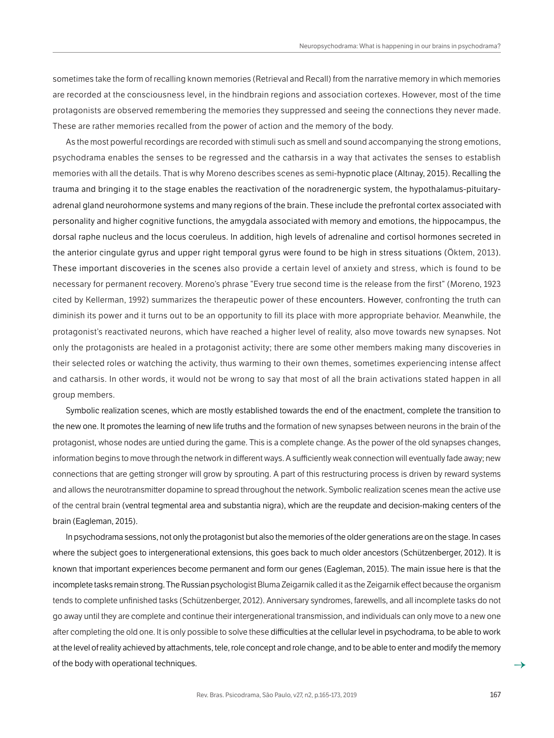sometimes take the form of recalling known memories (Retrieval and Recall) from the narrative memory in which memories are recorded at the consciousness level, in the hindbrain regions and association cortexes. However, most of the time protagonists are observed remembering the memories they suppressed and seeing the connections they never made. These are rather memories recalled from the power of action and the memory of the body.

As the most powerful recordings are recorded with stimuli such as smell and sound accompanying the strong emotions, psychodrama enables the senses to be regressed and the catharsis in a way that activates the senses to establish memories with all the details. That is why Moreno describes scenes as semi-hypnotic place (Altınay, 2015). Recalling the trauma and bringing it to the stage enables the reactivation of the noradrenergic system, the hypothalamus-pituitaryadrenal gland neurohormone systems and many regions of the brain. These include the prefrontal cortex associated with personality and higher cognitive functions, the amygdala associated with memory and emotions, the hippocampus, the dorsal raphe nucleus and the locus coeruleus. In addition, high levels of adrenaline and cortisol hormones secreted in the anterior cingulate gyrus and upper right temporal gyrus were found to be high in stress situations (Öktem, 2013). These important discoveries in the scenes also provide a certain level of anxiety and stress, which is found to be necessary for permanent recovery. Moreno's phrase "Every true second time is the release from the first" (Moreno, 1923 cited by Kellerman, 1992) summarizes the therapeutic power of these encounters. However, confronting the truth can diminish its power and it turns out to be an opportunity to fill its place with more appropriate behavior. Meanwhile, the protagonist's reactivated neurons, which have reached a higher level of reality, also move towards new synapses. Not only the protagonists are healed in a protagonist activity; there are some other members making many discoveries in their selected roles or watching the activity, thus warming to their own themes, sometimes experiencing intense affect and catharsis. In other words, it would not be wrong to say that most of all the brain activations stated happen in all group members.

Symbolic realization scenes, which are mostly established towards the end of the enactment, complete the transition to the new one. It promotes the learning of new life truths and the formation of new synapses between neurons in the brain of the protagonist, whose nodes are untied during the game. This is a complete change. As the power of the old synapses changes, information begins to move through the network in different ways. A sufficiently weak connection will eventually fade away; new connections that are getting stronger will grow by sprouting. A part of this restructuring process is driven by reward systems and allows the neurotransmitter dopamine to spread throughout the network. Symbolic realization scenes mean the active use of the central brain (ventral tegmental area and substantia nigra), which are the reupdate and decision-making centers of the brain (Eagleman, 2015).

In psychodrama sessions, not only the protagonist but also the memories of the older generations are on the stage. In cases where the subject goes to intergenerational extensions, this goes back to much older ancestors (Schützenberger, 2012). It is known that important experiences become permanent and form our genes (Eagleman, 2015). The main issue here is that the incomplete tasks remain strong. The Russian psychologist Bluma Zeigarnik called it as the Zeigarnik effect because the organism tends to complete unfinished tasks (Schützenberger, 2012). Anniversary syndromes, farewells, and all incomplete tasks do not go away until they are complete and continue their intergenerational transmission, and individuals can only move to a new one after completing the old one. It is only possible to solve these difficulties at the cellular level in psychodrama, to be able to work at the level of reality achieved by attachments, tele, role concept and role change, and to be able to enter and modify the memory of the body with operational techniques.  $\rightarrow$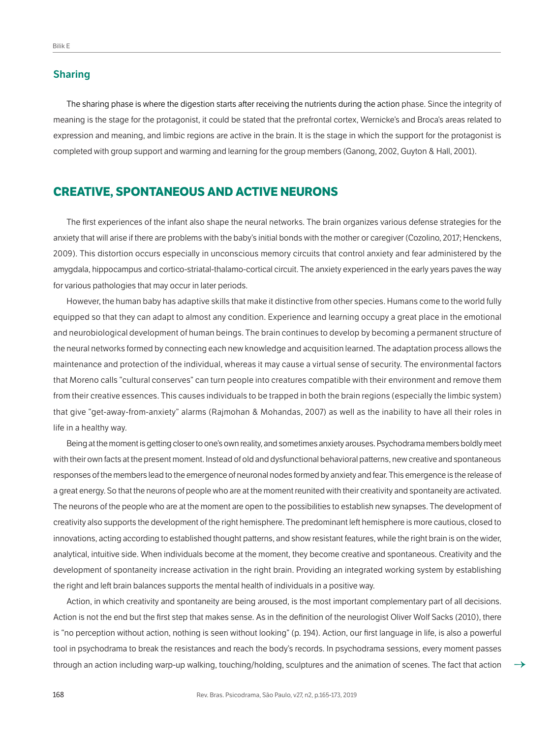#### **Sharing**

The sharing phase is where the digestion starts after receiving the nutrients during the action phase. Since the integrity of meaning is the stage for the protagonist, it could be stated that the prefrontal cortex, Wernicke's and Broca's areas related to expression and meaning, and limbic regions are active in the brain. It is the stage in which the support for the protagonist is completed with group support and warming and learning for the group members (Ganong, 2002, Guyton & Hall, 2001).

### **CREATIVE, SPONTANEOUS AND ACTIVE NEURONS**

The first experiences of the infant also shape the neural networks. The brain organizes various defense strategies for the anxiety that will arise if there are problems with the baby's initial bonds with the mother or caregiver (Cozolino, 2017; Henckens, 2009). This distortion occurs especially in unconscious memory circuits that control anxiety and fear administered by the amygdala, hippocampus and cortico-striatal-thalamo-cortical circuit. The anxiety experienced in the early years paves the way for various pathologies that may occur in later periods.

However, the human baby has adaptive skills that make it distinctive from other species. Humans come to the world fully equipped so that they can adapt to almost any condition. Experience and learning occupy a great place in the emotional and neurobiological development of human beings. The brain continues to develop by becoming a permanent structure of the neural networks formed by connecting each new knowledge and acquisition learned. The adaptation process allows the maintenance and protection of the individual, whereas it may cause a virtual sense of security. The environmental factors that Moreno calls "cultural conserves" can turn people into creatures compatible with their environment and remove them from their creative essences. This causes individuals to be trapped in both the brain regions (especially the limbic system) that give "get-away-from-anxiety" alarms (Rajmohan & Mohandas, 2007) as well as the inability to have all their roles in life in a healthy way.

Being at the moment is getting closer to one's own reality, and sometimes anxiety arouses. Psychodrama members boldly meet with their own facts at the present moment. Instead of old and dysfunctional behavioral patterns, new creative and spontaneous responses of the members lead to the emergence of neuronal nodes formed by anxiety and fear. This emergence is the release of a great energy. So that the neurons of people who are at the moment reunited with their creativity and spontaneity are activated. The neurons of the people who are at the moment are open to the possibilities to establish new synapses. The development of creativity also supports the development of the right hemisphere. The predominant left hemisphere is more cautious, closed to innovations, acting according to established thought patterns, and show resistant features, while the right brain is on the wider, analytical, intuitive side. When individuals become at the moment, they become creative and spontaneous. Creativity and the development of spontaneity increase activation in the right brain. Providing an integrated working system by establishing the right and left brain balances supports the mental health of individuals in a positive way.

Action, in which creativity and spontaneity are being aroused, is the most important complementary part of all decisions. Action is not the end but the first step that makes sense. As in the definition of the neurologist Oliver Wolf Sacks (2010), there is "no perception without action, nothing is seen without looking" (p. 194). Action, our first language in life, is also a powerful tool in psychodrama to break the resistances and reach the body's records. In psychodrama sessions, every moment passes through an action including warp-up walking, touching/holding, sculptures and the animation of scenes. The fact that action  $\rightarrow$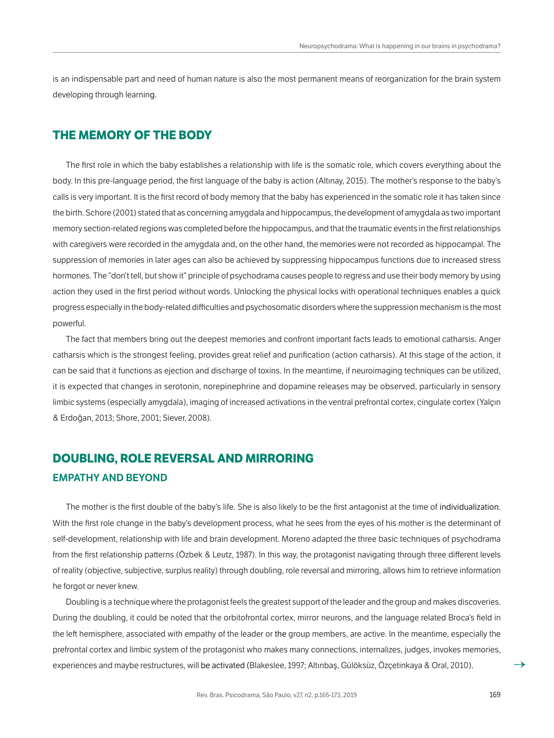is an indispensable part and need of human nature is also the most permanent means of reorganization for the brain system developing through learning.

## **THE MEMORY OF THE BODY**

The first role in which the baby establishes a relationship with life is the somatic role, which covers everything about the body. In this pre-language period, the first language of the baby is action (Altınay, 2015). The mother's response to the baby's calls is very important. It is the first record of body memory that the baby has experienced in the somatic role it has taken since the birth. Schore (2001) stated that as concerning amygdala and hippocampus, the development of amygdala as two important memory section-related regions was completed before the hippocampus, and that the traumatic events in the first relationships with caregivers were recorded in the amygdala and, on the other hand, the memories were not recorded as hippocampal. The suppression of memories in later ages can also be achieved by suppressing hippocampus functions due to increased stress hormones. The "don't tell, but show it" principle of psychodrama causes people to regress and use their body memory by using action they used in the first period without words. Unlocking the physical locks with operational techniques enables a quick progress especially in the body-related difficulties and psychosomatic disorders where the suppression mechanism is the most powerful.

The fact that members bring out the deepest memories and confront important facts leads to emotional catharsis. Anger catharsis which is the strongest feeling, provides great relief and purification (action catharsis). At this stage of the action, it can be said that it functions as ejection and discharge of toxins. In the meantime, if neuroimaging techniques can be utilized, it is expected that changes in serotonin, norepinephrine and dopamine releases may be observed, particularly in sensory limbic systems (especially amygdala), imaging of increased activations in the ventral prefrontal cortex, cingulate cortex (Yalçın & Erdoğan, 2013; Shore, 2001; Siever, 2008).

# **DOUBLING, ROLE REVERSAL AND MIRRORING EMPATHY AND BEYOND**

The mother is the first double of the baby's life. She is also likely to be the first antagonist at the time of individualization. With the first role change in the baby's development process, what he sees from the eyes of his mother is the determinant of self-development, relationship with life and brain development. Moreno adapted the three basic techniques of psychodrama from the first relationship patterns (Özbek & Leutz, 1987). In this way, the protagonist navigating through three different levels of reality (objective, subjective, surplus reality) through doubling, role reversal and mirroring, allows him to retrieve information he forgot or never knew.

Doubling is a technique where the protagonist feels the greatest support of the leader and the group and makes discoveries. During the doubling, it could be noted that the orbitofrontal cortex, mirror neurons, and the language related Broca's field in the left hemisphere, associated with empathy of the leader or the group members, are active. In the meantime, especially the prefrontal cortex and limbic system of the protagonist who makes many connections, internalizes, judges, invokes memories, experiences and maybe restructures, will be activated (Blakeslee, 1997; Altınbaş, Gülöksüz, Özçetinkaya & Oral, 2010). →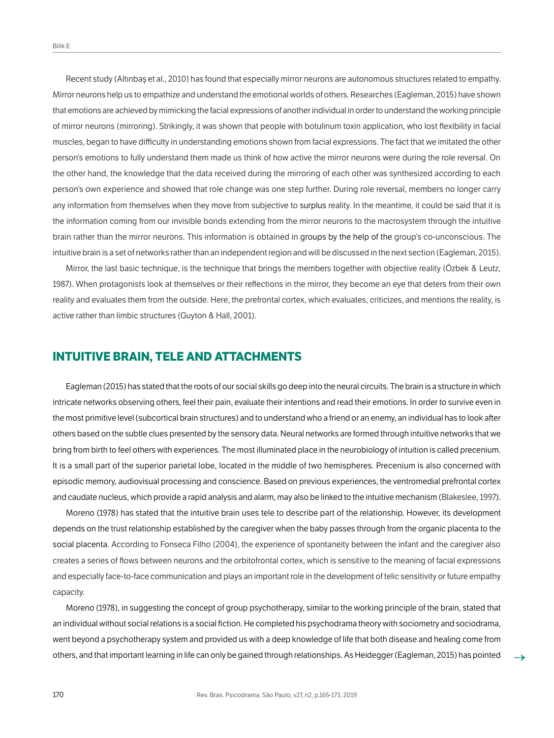Recent study (Altınbaş et al., 2010) has found that especially mirror neurons are autonomous structures related to empathy. Mirror neurons help us to empathize and understand the emotional worlds of others. Researches (Eagleman, 2015) have shown that emotions are achieved by mimicking the facial expressions of another individual in order to understand the working principle of mirror neurons (mirroring). Strikingly, it was shown that people with botulinum toxin application, who lost flexibility in facial muscles, began to have difficulty in understanding emotions shown from facial expressions. The fact that we imitated the other person's emotions to fully understand them made us think of how active the mirror neurons were during the role reversal. On the other hand, the knowledge that the data received during the mirroring of each other was synthesized according to each person's own experience and showed that role change was one step further. During role reversal, members no longer carry any information from themselves when they move from subjective to surplus reality. In the meantime, it could be said that it is the information coming from our invisible bonds extending from the mirror neurons to the macrosystem through the intuitive brain rather than the mirror neurons. This information is obtained in groups by the help of the group's co-unconscious. The intuitive brain is a set of networks rather than an independent region and will be discussed in the next section (Eagleman, 2015).

Mirror, the last basic technique, is the technique that brings the members together with objective reality (Özbek & Leutz, 1987). When protagonists look at themselves or their reflections in the mirror, they become an eye that deters from their own reality and evaluates them from the outside. Here, the prefrontal cortex, which evaluates, criticizes, and mentions the reality, is active rather than limbic structures (Guyton & Hall, 2001).

# **INTUITIVE BRAIN, TELE AND ATTACHMENTS**

Eagleman (2015) has stated that the roots of our social skills go deep into the neural circuits. The brain is a structure in which intricate networks observing others, feel their pain, evaluate their intentions and read their emotions. In order to survive even in the most primitive level (subcortical brain structures) and to understand who a friend or an enemy, an individual has to look after others based on the subtle clues presented by the sensory data. Neural networks are formed through intuitive networks that we bring from birth to feel others with experiences. The most illuminated place in the neurobiology of intuition is called precenium. It is a small part of the superior parietal lobe, located in the middle of two hemispheres. Precenium is also concerned with episodic memory, audiovisual processing and conscience. Based on previous experiences, the ventromedial prefrontal cortex and caudate nucleus, which provide a rapid analysis and alarm, may also be linked to the intuitive mechanism (Blakeslee, 1997).

Moreno (1978) has stated that the intuitive brain uses tele to describe part of the relationship. However, its development depends on the trust relationship established by the caregiver when the baby passes through from the organic placenta to the social placenta. According to Fonseca Filho (2004), the experience of spontaneity between the infant and the caregiver also creates a series of flows between neurons and the orbitofrontal cortex, which is sensitive to the meaning of facial expressions and especially face-to-face communication and plays an important role in the development of telic sensitivity or future empathy capacity.

Moreno (1978), in suggesting the concept of group psychotherapy, similar to the working principle of the brain, stated that an individual without social relations is a social fiction. He completed his psychodrama theory with sociometry and sociodrama, went beyond a psychotherapy system and provided us with a deep knowledge of life that both disease and healing come from others, and that important learning in life can only be gained through relationships. As Heidegger (Eagleman, 2015) has pointed →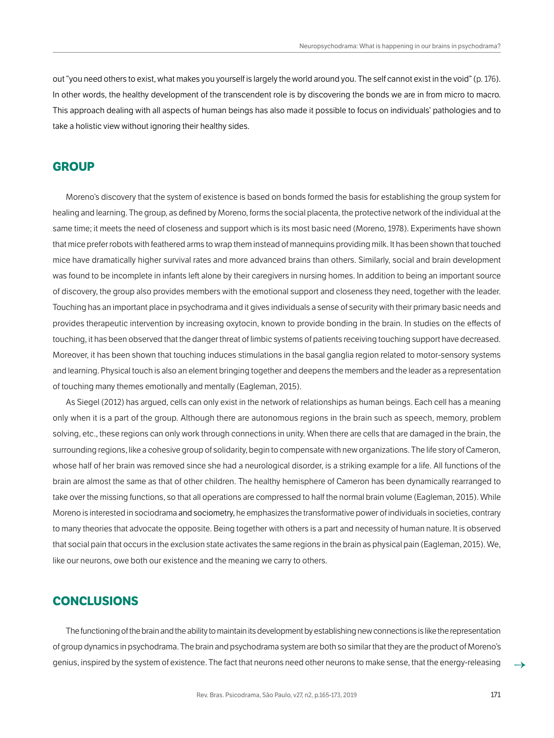out "you need others to exist, what makes you yourself is largely the world around you. The self cannot exist in the void" (p. 176). In other words, the healthy development of the transcendent role is by discovering the bonds we are in from micro to macro. This approach dealing with all aspects of human beings has also made it possible to focus on individuals' pathologies and to take a holistic view without ignoring their healthy sides.

#### **GROUP**

Moreno's discovery that the system of existence is based on bonds formed the basis for establishing the group system for healing and learning. The group, as defined by Moreno, forms the social placenta, the protective network of the individual at the same time; it meets the need of closeness and support which is its most basic need (Moreno, 1978). Experiments have shown that mice prefer robots with feathered arms to wrap them instead of mannequins providing milk. It has been shown that touched mice have dramatically higher survival rates and more advanced brains than others. Similarly, social and brain development was found to be incomplete in infants left alone by their caregivers in nursing homes. In addition to being an important source of discovery, the group also provides members with the emotional support and closeness they need, together with the leader. Touching has an important place in psychodrama and it gives individuals a sense of security with their primary basic needs and provides therapeutic intervention by increasing oxytocin, known to provide bonding in the brain. In studies on the effects of touching, it has been observed that the danger threat of limbic systems of patients receiving touching support have decreased. Moreover, it has been shown that touching induces stimulations in the basal ganglia region related to motor-sensory systems and learning. Physical touch is also an element bringing together and deepens the members and the leader as a representation of touching many themes emotionally and mentally (Eagleman, 2015).

As Siegel (2012) has argued, cells can only exist in the network of relationships as human beings. Each cell has a meaning only when it is a part of the group. Although there are autonomous regions in the brain such as speech, memory, problem solving, etc., these regions can only work through connections in unity. When there are cells that are damaged in the brain, the surrounding regions, like a cohesive group of solidarity, begin to compensate with new organizations. The life story of Cameron, whose half of her brain was removed since she had a neurological disorder, is a striking example for a life. All functions of the brain are almost the same as that of other children. The healthy hemisphere of Cameron has been dynamically rearranged to take over the missing functions, so that all operations are compressed to half the normal brain volume (Eagleman, 2015). While Moreno is interested in sociodrama and sociometry, he emphasizes the transformative power of individuals in societies, contrary to many theories that advocate the opposite. Being together with others is a part and necessity of human nature. It is observed that social pain that occurs in the exclusion state activates the same regions in the brain as physical pain (Eagleman, 2015). We, like our neurons, owe both our existence and the meaning we carry to others.

#### **CONCLUSIONS**

The functioning of the brain and the ability to maintain its development by establishing new connections is like the representation of group dynamics in psychodrama. The brain and psychodrama system are both so similar that they are the product of Moreno's genius, inspired by the system of existence. The fact that neurons need other neurons to make sense, that the energy-releasing →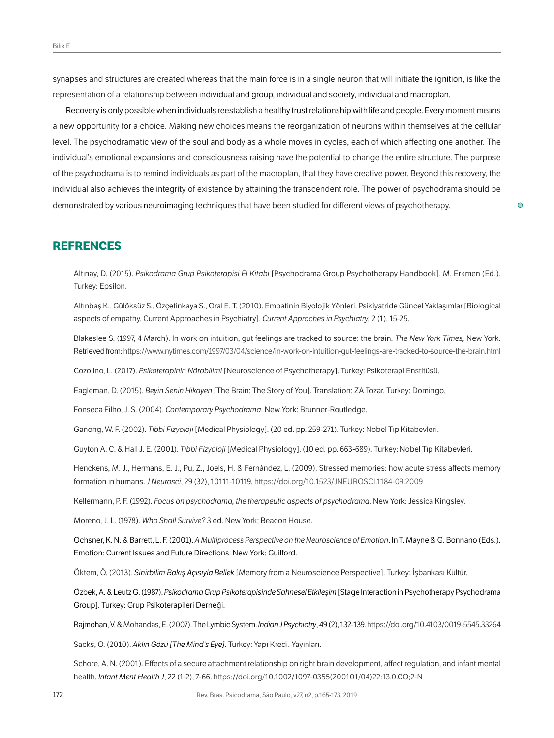synapses and structures are created whereas that the main force is in a single neuron that will initiate the ignition, is like the representation of a relationship between individual and group, individual and society, individual and macroplan.

Recovery is only possible when individuals reestablish a healthy trust relationship with life and people. Every moment means a new opportunity for a choice. Making new choices means the reorganization of neurons within themselves at the cellular level. The psychodramatic view of the soul and body as a whole moves in cycles, each of which affecting one another. The individual's emotional expansions and consciousness raising have the potential to change the entire structure. The purpose of the psychodrama is to remind individuals as part of the macroplan, that they have creative power. Beyond this recovery, the individual also achieves the integrity of existence by attaining the transcendent role. The power of psychodrama should be demonstrated by various neuroimaging techniques that have been studied for different views of psychotherapy.

## **REFRENCES**

Altınay, D. (2015). *Psikodrama Grup Psikoterapisi El Kitabı* [Psychodrama Group Psychotherapy Handbook]. M. Erkmen (Ed.). Turkey: Epsilon.

Altınbaş K., Gülöksüz S., Özçetinkaya S., Oral E. T. (2010). Empatinin Biyolojik Yönleri. Psikiyatride Güncel Yaklaşımlar [Biological aspects of empathy. Current Approaches in Psychiatry]. *Current Approches in Psychiatry,* 2 (1), 15-25.

Blakeslee S. (1997, 4 March). In work on intuition, gut feelings are tracked to source: the brain. *The New York Times,* New York. Retrieved from:<https://www.nytimes.com/1997/03/04/science/in-work-on-intuition-gut-feelings-are-tracked-to-source-the-brain.html>

Cozolino, L. (2017). *Psikoterapinin Nörobilimi* [Neuroscience of Psychotherapy]. Turkey: Psikoterapi Enstitüsü.

Eagleman, D. (2015). *Beyin Senin Hikayen* [The Brain: The Story of You]. Translation: ZA Tozar. Turkey: Domingo.

Fonseca Filho, J. S. (2004). *Contemporary Psychodrama*. New York: Brunner-Routledge.

Ganong, W. F. (2002). *Tıbbi Fizyoloji* [Medical Physiology]. (20 ed. pp. 259-271). Turkey: Nobel Tıp Kitabevleri.

Guyton A. C. & Hall J. E. (2001). *Tıbbi Fizyoloji* [Medical Physiology]. (10 ed. pp. 663-689). Turkey: Nobel Tıp Kitabevleri.

Henckens, M. J., Hermans, E. J., Pu, Z., Joels, H. & Fernández, L. (2009). Stressed memories: how acute stress affects memory formation in humans. *J Neurosci*, 29 (32), 10111-10119. <https://doi.org/10.1523/JNEUROSCI.1184-09.2009>

Kellermann, P. F. (1992). *Focus on psychodrama, the therapeutic aspects of psychodrama*. New York: Jessica Kingsley.

Moreno, J. L. (1978). *Who Shall Survive?* 3 ed. New York: Beacon House.

Ochsner, K. N. & Barrett, L. F. (2001). *A Multiprocess Perspective on the Neuroscience of Emotion*. In T. Mayne & G. Bonnano (Eds.). Emotion: Current Issues and Future Directions. New York: Guilford.

Öktem, Ö. (2013). *Sinirbilim Bakış Açısıyla Bellek* [Memory from a Neuroscience Perspective]. Turkey: İşbankası Kültür.

Özbek, A. & Leutz G. (1987). *Psikodrama Grup Psikoterapisinde Sahnesel Etkileşim* [Stage Interaction in Psychotherapy Psychodrama Group]. Turkey: Grup Psikoterapileri Derneği.

Rajmohan, V. & Mohandas, E. (2007). The Lymbic System. *Indian J Psychiatry*, 49 (2), 132-139.<https://doi.org/10.4103/0019-5545.33264>

Sacks, O. (2010). *Aklın Gözü [The Mind's Eye]*. Turkey: Yapı Kredi. Yayınları.

Schore, A. N. (2001). Effects of a secure attachment relationship on right brain development, affect regulation, and infant mental health. *Infant Ment Health J*, 22 (1-2), 7-66. [https://doi.org/10.1002/1097-0355\(200101/04\)22:13.0.CO;2-N](https://doi.org/10.1002/1097-0355(200101/04)22:13.0.CO;2-N)